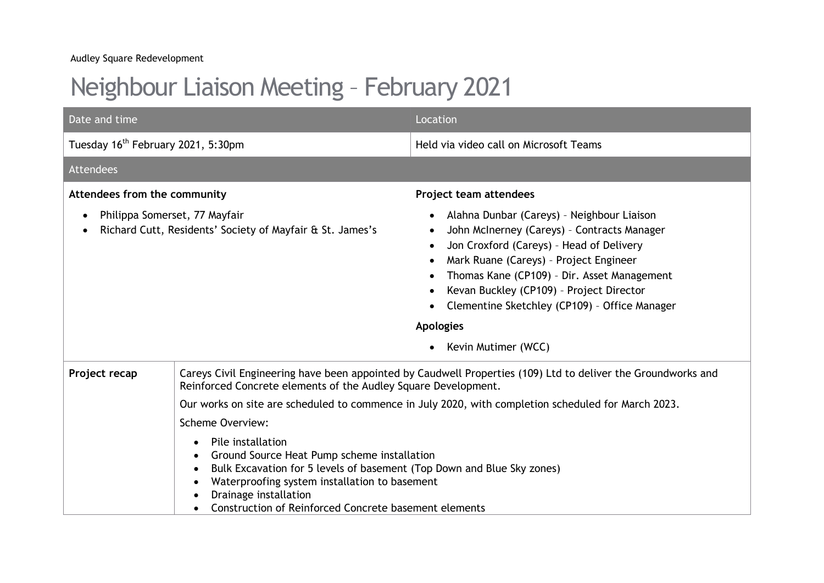## Neighbour Liaison Meeting – February 2021

| Date and time                                                                                           |                                                                                                                                                                                                                                                                                                                      | Location                                                                                                                                                                                                                                                                                                                                                               |
|---------------------------------------------------------------------------------------------------------|----------------------------------------------------------------------------------------------------------------------------------------------------------------------------------------------------------------------------------------------------------------------------------------------------------------------|------------------------------------------------------------------------------------------------------------------------------------------------------------------------------------------------------------------------------------------------------------------------------------------------------------------------------------------------------------------------|
| Tuesday 16 <sup>th</sup> February 2021, 5:30pm                                                          |                                                                                                                                                                                                                                                                                                                      | Held via video call on Microsoft Teams                                                                                                                                                                                                                                                                                                                                 |
| Attendees                                                                                               |                                                                                                                                                                                                                                                                                                                      |                                                                                                                                                                                                                                                                                                                                                                        |
| Attendees from the community                                                                            |                                                                                                                                                                                                                                                                                                                      | Project team attendees                                                                                                                                                                                                                                                                                                                                                 |
| Philippa Somerset, 77 Mayfair<br>$\bullet$<br>Richard Cutt, Residents' Society of Mayfair & St. James's |                                                                                                                                                                                                                                                                                                                      | Alahna Dunbar (Careys) - Neighbour Liaison<br>John McInerney (Careys) - Contracts Manager<br>Jon Croxford (Careys) - Head of Delivery<br>Mark Ruane (Careys) - Project Engineer<br>Thomas Kane (CP109) - Dir. Asset Management<br>Kevan Buckley (CP109) - Project Director<br>Clementine Sketchley (CP109) - Office Manager<br><b>Apologies</b><br>Kevin Mutimer (WCC) |
| Project recap                                                                                           | Reinforced Concrete elements of the Audley Square Development.                                                                                                                                                                                                                                                       | Careys Civil Engineering have been appointed by Caudwell Properties (109) Ltd to deliver the Groundworks and<br>Our works on site are scheduled to commence in July 2020, with completion scheduled for March 2023.                                                                                                                                                    |
|                                                                                                         | <b>Scheme Overview:</b>                                                                                                                                                                                                                                                                                              |                                                                                                                                                                                                                                                                                                                                                                        |
|                                                                                                         | Pile installation<br>$\bullet$<br>Ground Source Heat Pump scheme installation<br>$\bullet$<br>Bulk Excavation for 5 levels of basement (Top Down and Blue Sky zones)<br>$\bullet$<br>Waterproofing system installation to basement<br>Drainage installation<br>Construction of Reinforced Concrete basement elements |                                                                                                                                                                                                                                                                                                                                                                        |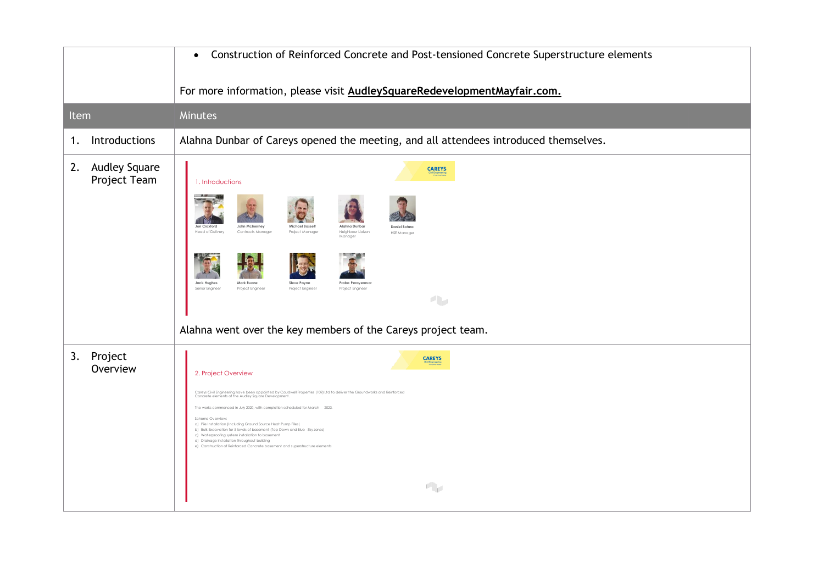|                                            | Construction of Reinforced Concrete and Post-tensioned Concrete Superstructure elements<br>$\bullet$                                                                                                                                                                                                                                                                                                                                                                                                                                                                                                                                                             |  |
|--------------------------------------------|------------------------------------------------------------------------------------------------------------------------------------------------------------------------------------------------------------------------------------------------------------------------------------------------------------------------------------------------------------------------------------------------------------------------------------------------------------------------------------------------------------------------------------------------------------------------------------------------------------------------------------------------------------------|--|
|                                            | For more information, please visit AudleySquareRedevelopmentMayfair.com.                                                                                                                                                                                                                                                                                                                                                                                                                                                                                                                                                                                         |  |
| Item                                       | Minutes                                                                                                                                                                                                                                                                                                                                                                                                                                                                                                                                                                                                                                                          |  |
| Introductions<br>1.                        | Alahna Dunbar of Careys opened the meeting, and all attendees introduced themselves.                                                                                                                                                                                                                                                                                                                                                                                                                                                                                                                                                                             |  |
| <b>Audley Square</b><br>2.<br>Project Team | <b>CAREYS</b><br>1. Introductions<br>John McInerney<br>Michael Basse<br>Daniel Botm<br>Head of Delivery<br>Contracts Manager<br>Project Manager<br>Neighbour Liaison<br><b>HSE Manager</b><br>Manager<br>Jack Hughes<br>Mark Ruane<br><b>Steve Payne</b><br>Praba Peraveravo<br>Project Engineer<br>Senior Engineer<br>Project Engineer<br>Project Engineer<br>小<br>Alahna went over the key members of the Careys project team.                                                                                                                                                                                                                                 |  |
| 3.<br>Project<br>Overview                  | <b>CAREYS</b><br>2. Project Overview<br>Careys Civil Engineering have been appointed by Caudwell Properties (109) Ltd to deliver the Groundworks and Reinforced<br>Concrete elements of the Audley Square Development.<br>The works commenced in July 2020, with completion scheduled for March 2023.<br>Scheme Overview<br>a) Pile Installation (Including Ground Source Heat Pump Piles)<br>b) Bulk Excavation for 5 levels of basement (Top Down and Blue -Sky zones)<br>c) Waterproofing system installation to basement<br>d) Drainage installation throughout building<br>e) Construction of Reinforced Concrete basement and superstructure elements<br>小 |  |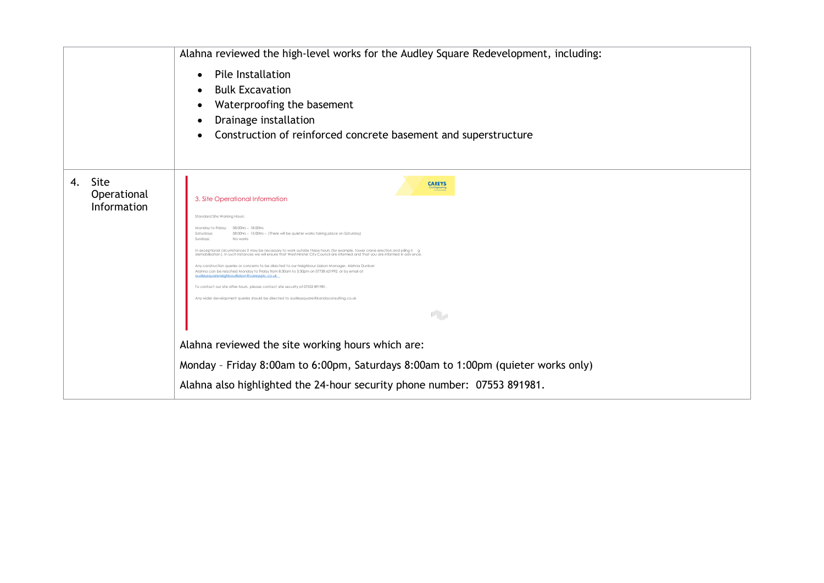|    |                                    | Alahna reviewed the high-level works for the Audley Square Redevelopment, including:                                                                                                                                                                                                                                                                                                                                                                                                                                                                                                                                                                                                                                                                                                                                                                                                                                                                                                                             |  |
|----|------------------------------------|------------------------------------------------------------------------------------------------------------------------------------------------------------------------------------------------------------------------------------------------------------------------------------------------------------------------------------------------------------------------------------------------------------------------------------------------------------------------------------------------------------------------------------------------------------------------------------------------------------------------------------------------------------------------------------------------------------------------------------------------------------------------------------------------------------------------------------------------------------------------------------------------------------------------------------------------------------------------------------------------------------------|--|
|    |                                    | Pile Installation<br>$\bullet$<br><b>Bulk Excavation</b><br>Waterproofing the basement<br>Drainage installation<br>Construction of reinforced concrete basement and superstructure                                                                                                                                                                                                                                                                                                                                                                                                                                                                                                                                                                                                                                                                                                                                                                                                                               |  |
| 4. | Site<br>Operational<br>Information | <b>CAREYS</b><br>3. Site Operational Information<br>Standard Site Working Hours:<br>Monday to Friday: 08:00hrs - 18:00hrs<br>Saturdays<br>08:00hrs - 13:00hrs - (There will be quieter works taking place on Saturday<br>Sundays:<br>No works<br>In exceptional circumstances it may be necessary to work outside these hours (for example, tower crane erection and pilina ri a<br>demobilisation I. In such instances we will ensure that Westminster City Council are informed and that you are informed in advance<br>Any construction queries or concerns to be directed to our Neighbour Liaison Manager, Alahna Dunbar<br>Alahna can be reached Monday to Friday from 8:30am to 5:30pm on 07738 621992, or by email a<br>audleysaugreneighbourligison@cgreysplc.co.uk<br>To contact our site after-hours, please contact site security at 07553 891981<br>Any wider development queries should be directed to audleysquare@kandaconsultina.co.u<br>中<br>Alahna reviewed the site working hours which are: |  |
|    |                                    | Monday - Friday 8:00am to 6:00pm, Saturdays 8:00am to 1:00pm (quieter works only)                                                                                                                                                                                                                                                                                                                                                                                                                                                                                                                                                                                                                                                                                                                                                                                                                                                                                                                                |  |
|    |                                    | Alahna also highlighted the 24-hour security phone number: 07553 891981.                                                                                                                                                                                                                                                                                                                                                                                                                                                                                                                                                                                                                                                                                                                                                                                                                                                                                                                                         |  |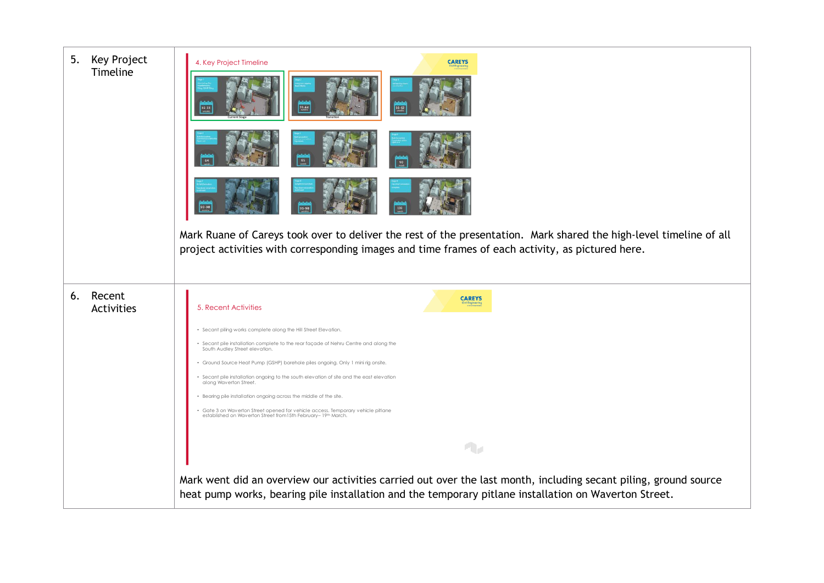| Key Project<br>5.<br>Timeline | 4. Key Project Timeline<br>29.64                                                                                                                   | <b>CAREYS</b>                                                                                                                                                                                                             |
|-------------------------------|----------------------------------------------------------------------------------------------------------------------------------------------------|---------------------------------------------------------------------------------------------------------------------------------------------------------------------------------------------------------------------------|
|                               | 64                                                                                                                                                 |                                                                                                                                                                                                                           |
|                               |                                                                                                                                                    |                                                                                                                                                                                                                           |
|                               |                                                                                                                                                    | Mark Ruane of Careys took over to deliver the rest of the presentation. Mark shared the high-level timeline of all<br>project activities with corresponding images and time frames of each activity, as pictured here.    |
| Recent<br>6.<br>Activities    | 5. Recent Activities                                                                                                                               | <b>CAREYS</b>                                                                                                                                                                                                             |
|                               | · Secant piling works complete along the Hill Street Elevation.                                                                                    |                                                                                                                                                                                                                           |
|                               | • Secant pile installation complete to the rear façade of Nehru Centre and along the<br>South Audley Street elevation.                             |                                                                                                                                                                                                                           |
|                               | · Ground Source Heat Pump (GSHP) borehole piles ongoing. Only 1 mini rig onsite.                                                                   |                                                                                                                                                                                                                           |
|                               | · Secant pile installation ongoing to the south elevation of site and the east elevation<br>along Waverton Street.                                 |                                                                                                                                                                                                                           |
|                               | · Bearing pile installation ongoing across the middle of the site.                                                                                 |                                                                                                                                                                                                                           |
|                               | • Gate 3 on Waverton Street opened for vehicle access. Temporary vehicle pitlane<br>established on Waverton Street from 15th February- 19th March. |                                                                                                                                                                                                                           |
|                               |                                                                                                                                                    |                                                                                                                                                                                                                           |
|                               |                                                                                                                                                    | $\mathbf{q}_{\mathcal{F}}$                                                                                                                                                                                                |
|                               |                                                                                                                                                    | Mark went did an overview our activities carried out over the last month, including secant piling, ground source<br>heat pump works, bearing pile installation and the temporary pitlane installation on Waverton Street. |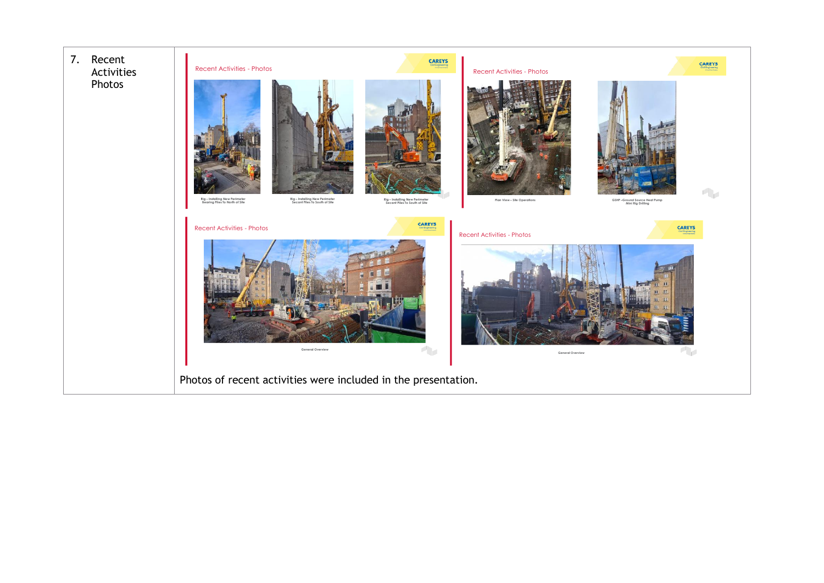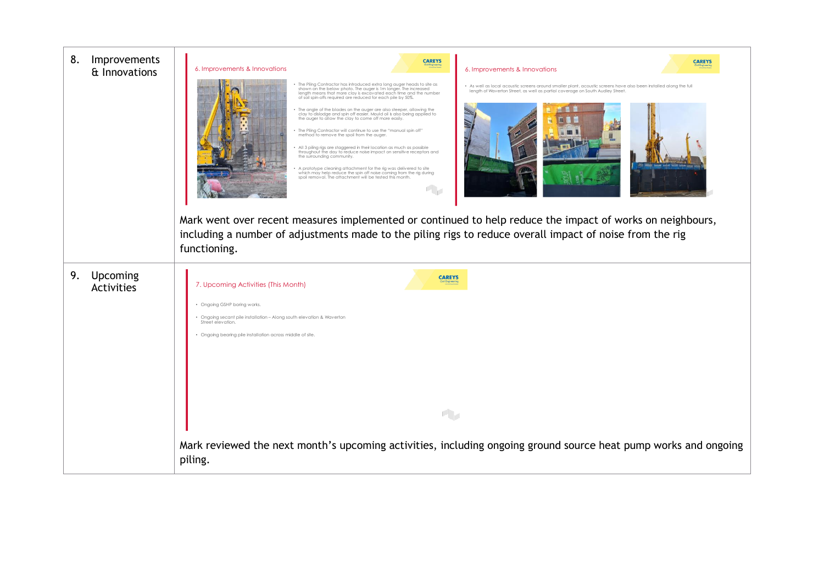| 8.<br>Improvements<br>& Innovations | <b>CAREYS</b><br><b>CAREYS</b><br>6. Improvements & Innovations<br>6. Improvements & Innovations                                                                                                                                                                                                                                                                                                                                                                                                                                                                                                                                                                                                                                                                                                                                                                                                                                                                                                                                                                                                                                                                                                                                                                                                                                                                                                                                                     |
|-------------------------------------|------------------------------------------------------------------------------------------------------------------------------------------------------------------------------------------------------------------------------------------------------------------------------------------------------------------------------------------------------------------------------------------------------------------------------------------------------------------------------------------------------------------------------------------------------------------------------------------------------------------------------------------------------------------------------------------------------------------------------------------------------------------------------------------------------------------------------------------------------------------------------------------------------------------------------------------------------------------------------------------------------------------------------------------------------------------------------------------------------------------------------------------------------------------------------------------------------------------------------------------------------------------------------------------------------------------------------------------------------------------------------------------------------------------------------------------------------|
|                                     | The Piling Contractor has introduced extra long auger heads to site as<br>· As well as local acoustic screens around smaller plant, acoustic screens have also been installed along the full<br>shown on the below photo. The auger is 1m longer. The increased<br>length of Waverton Street, as well as partial coverage on South Audley Street.<br>length means that more clay is excavated each time and the number<br>of soil spin-offs required are reduced for each pile by 50%.<br>• The angle of the blades on the auger are also steeper, allowing the<br>clay to dislodge and spin off easier. Mould oil is also being applied to<br>the auger to allow the clay to come off more easily.<br>• The Piling Contractor will continue to use the "manual spin off" method to remove the spoil from the auger.<br>All 3 piling rigs are staggered in their location as much as possible<br>throughout the day to reduce noise impact on sensitive receptors and<br>the surrounding community.<br>A prototype cleaning attachment for the rig was delivered to site<br>which may help reduce the spin off noise coming from the rig during<br>spoil removal. The attachment will be tested this month.<br>Mark went over recent measures implemented or continued to help reduce the impact of works on neighbours,<br>including a number of adjustments made to the piling rigs to reduce overall impact of noise from the rig<br>functioning. |
| Upcoming<br>9.<br>Activities        | <b>CAREYS</b><br>7. Upcoming Activities (This Month)<br>• Ongoing GSHP boring works.<br>• Ongoing secant pile installation - Along south elevation & Waverton<br>Street elevation.<br>• Ongoing bearing pile installation across middle of site.<br>$\mathbf{r}_\mathrm{F}$                                                                                                                                                                                                                                                                                                                                                                                                                                                                                                                                                                                                                                                                                                                                                                                                                                                                                                                                                                                                                                                                                                                                                                          |
|                                     | Mark reviewed the next month's upcoming activities, including ongoing ground source heat pump works and ongoing<br>piling.                                                                                                                                                                                                                                                                                                                                                                                                                                                                                                                                                                                                                                                                                                                                                                                                                                                                                                                                                                                                                                                                                                                                                                                                                                                                                                                           |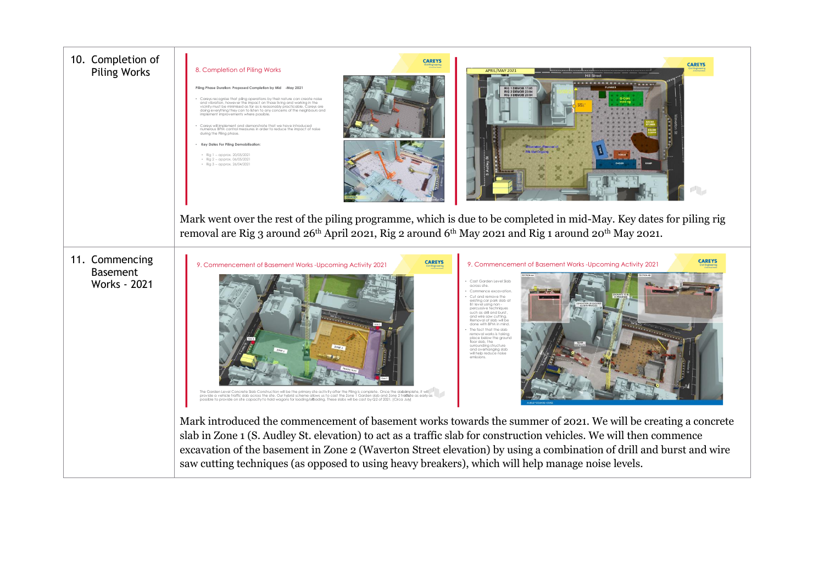| 10. Completion of<br><b>Piling Works</b>                 | <b>CAREYS</b><br><b>CAREYS</b><br>8. Completion of Piling Works<br><b>APRIL/MAY 202</b><br>Piling Phase Duration: Proposed Completion by Mid -May 2021<br>RIG 1 DEMOB 17/05<br>RIG 2 DEMOB 23/04<br>RIG 3 DEMOR 2010<br>Careys recognise that piling operations by their nature can create noise<br>and vibration, however the impact on those living and working in the<br>vicinity must be minimised as far as is reasonably practicable. Careys are<br>doing everything they can to listen to any concerns of the neighbours and<br>implement improvements where possible.<br>Careys will implement and demonstrate that we have introduced<br>numerous BPM control measures in order to reduce the impact of noise<br>durina the Pilina phase.<br>Key Dates For Piling Demobilisation:<br>· Ria 1 - approx. 20/05/202<br>$\frac{1}{2}$ Rig 2 - approx. 06/05/2021<br>$\cdot$ Rig 3 - approx. 26/04/2021<br>Mark went over the rest of the piling programme, which is due to be completed in mid-May. Key dates for piling rig<br>removal are Rig 3 around 26th April 2021, Rig 2 around 6th May 2021 and Rig 1 around 20th May 2021.                                                                                                                                                                                                                                                                                                                                      |
|----------------------------------------------------------|-------------------------------------------------------------------------------------------------------------------------------------------------------------------------------------------------------------------------------------------------------------------------------------------------------------------------------------------------------------------------------------------------------------------------------------------------------------------------------------------------------------------------------------------------------------------------------------------------------------------------------------------------------------------------------------------------------------------------------------------------------------------------------------------------------------------------------------------------------------------------------------------------------------------------------------------------------------------------------------------------------------------------------------------------------------------------------------------------------------------------------------------------------------------------------------------------------------------------------------------------------------------------------------------------------------------------------------------------------------------------------------------------------------------------------------------------------------------------------|
| 11. Commencing<br><b>Basement</b><br><b>Works - 2021</b> | <b>CAREYS</b><br><b>CAREYS</b><br>9. Commencement of Basement Works-Upcoming Activity 2021<br>9. Commencement of Basement Works-Upcoming Activity 2021<br>Cast Garden Level Slab<br>across site.<br>Commence excavation<br>Cut and remove the<br>existing car park slab at<br>B1 level using non-<br>nercussive technique:<br>such as drill and burst<br>and wire saw cutting.<br>emoval of slab will be<br><b>Care 2</b><br>done with BPM in mind<br>The fact that the slab<br>emoval works is taking<br>place below the ground<br>.<br>floor slab, the<br>surrounding structure<br>and overhanging slab<br>will help reduce noise<br>The Garden Level Concrete Slab Construction will be the primary site activity after the Piling is complete. Once the slabamplete, it will<br>provide a vehicle traffic slab across the site. Our hybrid scheme allows us to cast<br>possible to provide on site capacity to hold wagons for loading/elfoading. These slabs will be cast by Q2 of 2021. (Circa July)<br>Mark introduced the commencement of basement works towards the summer of 2021. We will be creating a concrete<br>slab in Zone 1 (S. Audley St. elevation) to act as a traffic slab for construction vehicles. We will then commence<br>excavation of the basement in Zone 2 (Waverton Street elevation) by using a combination of drill and burst and wire<br>saw cutting techniques (as opposed to using heavy breakers), which will help manage noise levels. |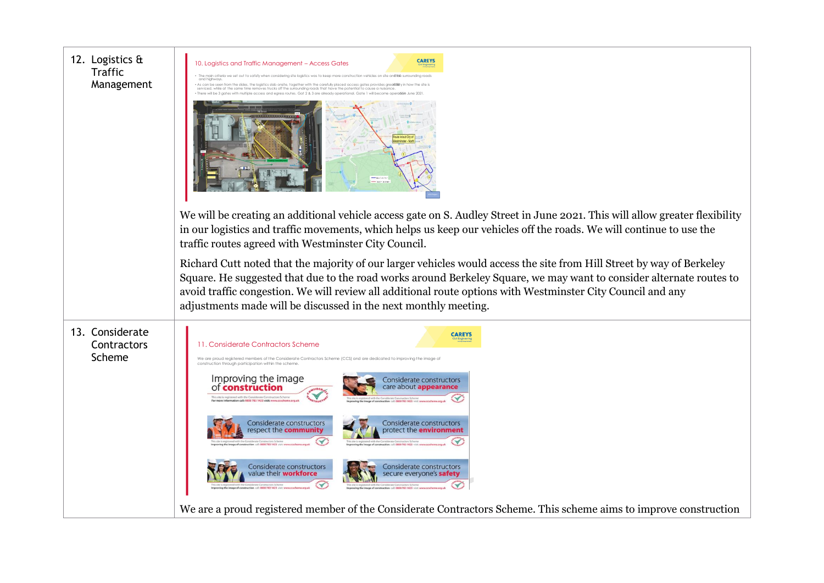| 12. Logistics &<br><b>Traffic</b><br>Management | <b>CAREYS</b><br>10. Logistics and Traffic Management - Access Gates<br>We will be creating an additional vehicle access gate on S. Audley Street in June 2021. This will allow greater flexibility<br>in our logistics and traffic movements, which helps us keep our vehicles off the roads. We will continue to use the                                                                                                                                                                                                                                                                     |  |
|-------------------------------------------------|------------------------------------------------------------------------------------------------------------------------------------------------------------------------------------------------------------------------------------------------------------------------------------------------------------------------------------------------------------------------------------------------------------------------------------------------------------------------------------------------------------------------------------------------------------------------------------------------|--|
|                                                 | traffic routes agreed with Westminster City Council.<br>Richard Cutt noted that the majority of our larger vehicles would access the site from Hill Street by way of Berkeley<br>Square. He suggested that due to the road works around Berkeley Square, we may want to consider alternate routes to<br>avoid traffic congestion. We will review all additional route options with Westminster City Council and any<br>adjustments made will be discussed in the next monthly meeting.                                                                                                         |  |
| 13. Considerate<br>Contractors<br>Scheme        | <b>CAREYS</b><br>11. Considerate Contractors Scheme<br>We are proud registered members of the Considerate Contractors Scheme (CCS) and are dedicated to improving the image<br>construction through participation within the scheme<br>Improving the image<br>of <b>construction</b><br>Considerate constructors<br>care about <b>appearance</b><br>Considerate constructors<br>Considerate constructors<br>respect the <b>community</b><br>protect the <b>environment</b><br>Considerate constructors<br>Considerate constructors<br>value their <b>workforce</b><br>secure everyone's safety |  |
|                                                 | We are a proud registered member of the Considerate Contractors Scheme. This scheme aims to improve construction                                                                                                                                                                                                                                                                                                                                                                                                                                                                               |  |